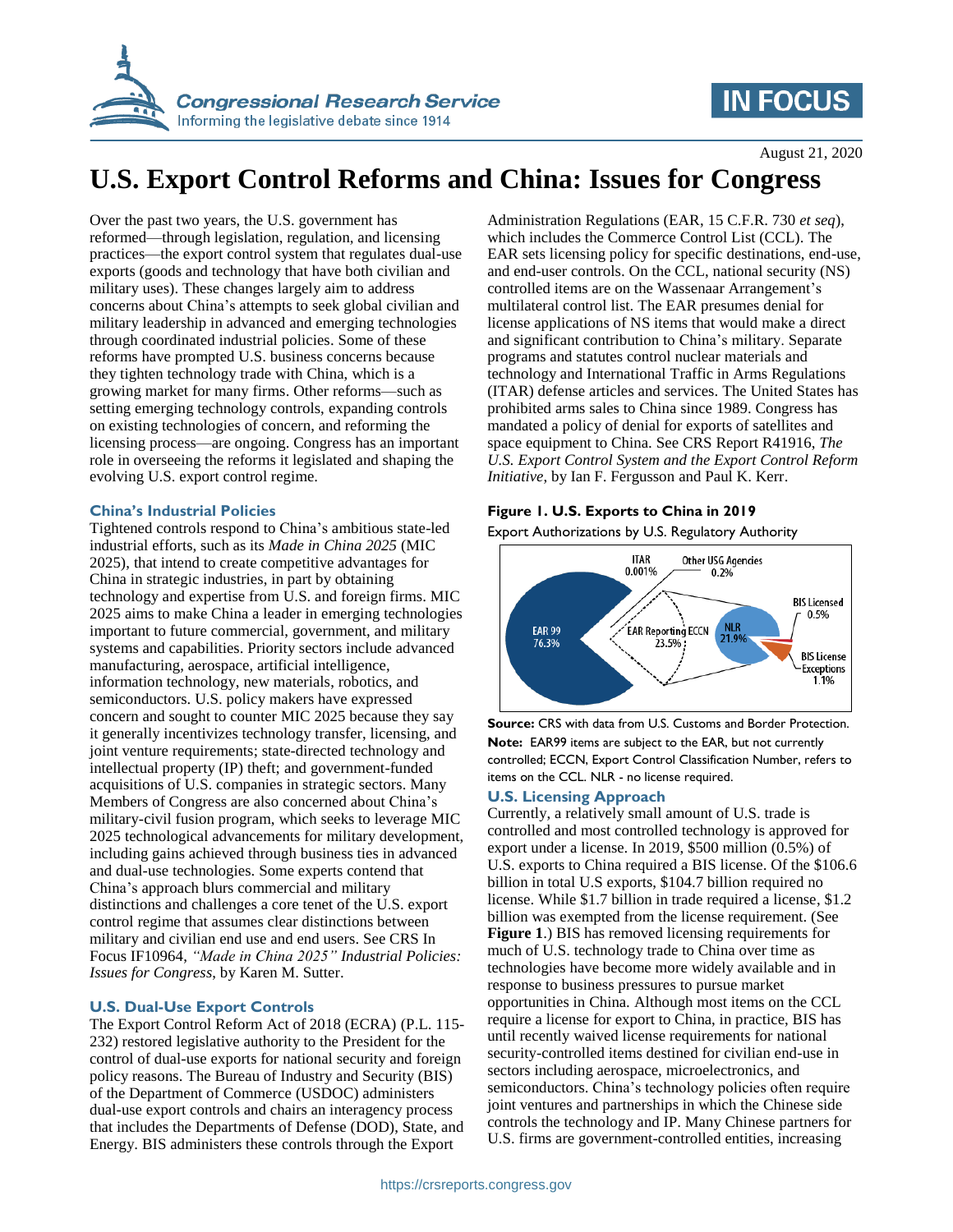

# **IN FOCUS**

August 21, 2020

# **U.S. Export Control Reforms and China: Issues for Congress**

Over the past two years, the U.S. government has reformed—through legislation, regulation, and licensing practices—the export control system that regulates dual-use exports (goods and technology that have both civilian and military uses). These changes largely aim to address concerns about China's attempts to seek global civilian and military leadership in advanced and emerging technologies through coordinated industrial policies. Some of these reforms have prompted U.S. business concerns because they tighten technology trade with China, which is a growing market for many firms. Other reforms—such as setting emerging technology controls, expanding controls on existing technologies of concern, and reforming the licensing process—are ongoing. Congress has an important role in overseeing the reforms it legislated and shaping the evolving U.S. export control regime.

## **China's Industrial Policies**

Tightened controls respond to China's ambitious state-led industrial efforts, such as its *Made in China 2025* (MIC 2025), that intend to create competitive advantages for China in strategic industries, in part by obtaining technology and expertise from U.S. and foreign firms. MIC 2025 aims to make China a leader in emerging technologies important to future commercial, government, and military systems and capabilities. Priority sectors include advanced manufacturing, aerospace, artificial intelligence, information technology, new materials, robotics, and semiconductors. U.S. policy makers have expressed concern and sought to counter MIC 2025 because they say it generally incentivizes technology transfer, licensing, and joint venture requirements; state-directed technology and intellectual property (IP) theft; and government-funded acquisitions of U.S. companies in strategic sectors. Many Members of Congress are also concerned about China's military-civil fusion program, which seeks to leverage MIC 2025 technological advancements for military development, including gains achieved through business ties in advanced and dual-use technologies. Some experts contend that China's approach blurs commercial and military distinctions and challenges a core tenet of the U.S. export control regime that assumes clear distinctions between military and civilian end use and end users. See CRS In Focus IF10964, *"Made in China 2025" Industrial Policies: Issues for Congress*, by Karen M. Sutter.

## **U.S. Dual-Use Export Controls**

The Export Control Reform Act of 2018 (ECRA) (P.L. 115- 232) restored legislative authority to the President for the control of dual-use exports for national security and foreign policy reasons. The Bureau of Industry and Security (BIS) of the Department of Commerce (USDOC) administers dual-use export controls and chairs an interagency process that includes the Departments of Defense (DOD), State, and Energy. BIS administers these controls through the Export

Administration Regulations (EAR, 15 C.F.R. 730 *et seq*), which includes the Commerce Control List (CCL). The EAR sets licensing policy for specific destinations, end-use, and end-user controls. On the CCL, national security (NS) controlled items are on the Wassenaar Arrangement's multilateral control list. The EAR presumes denial for license applications of NS items that would make a direct and significant contribution to China's military. Separate programs and statutes control nuclear materials and technology and International Traffic in Arms Regulations (ITAR) defense articles and services. The United States has prohibited arms sales to China since 1989. Congress has mandated a policy of denial for exports of satellites and space equipment to China. See CRS Report R41916, *The U.S. Export Control System and the Export Control Reform Initiative*, by Ian F. Fergusson and Paul K. Kerr.

# **Figure 1. U.S. Exports to China in 2019**

Export Authorizations by U.S. Regulatory Authority



**Source:** CRS with data from U.S. Customs and Border Protection. **Note:** EAR99 items are subject to the EAR, but not currently controlled; ECCN, Export Control Classification Number, refers to items on the CCL. NLR - no license required.

## **U.S. Licensing Approach**

Currently, a relatively small amount of U.S. trade is controlled and most controlled technology is approved for export under a license. In 2019, \$500 million (0.5%) of U.S. exports to China required a BIS license. Of the \$106.6 billion in total U.S exports, \$104.7 billion required no license. While \$1.7 billion in trade required a license, \$1.2 billion was exempted from the license requirement. (See **Figure 1**.) BIS has removed licensing requirements for much of U.S. technology trade to China over time as technologies have become more widely available and in response to business pressures to pursue market opportunities in China. Although most items on the CCL require a license for export to China, in practice, BIS has until recently waived license requirements for national security-controlled items destined for civilian end-use in sectors including aerospace, microelectronics, and semiconductors. China's technology policies often require joint ventures and partnerships in which the Chinese side controls the technology and IP. Many Chinese partners for U.S. firms are government-controlled entities, increasing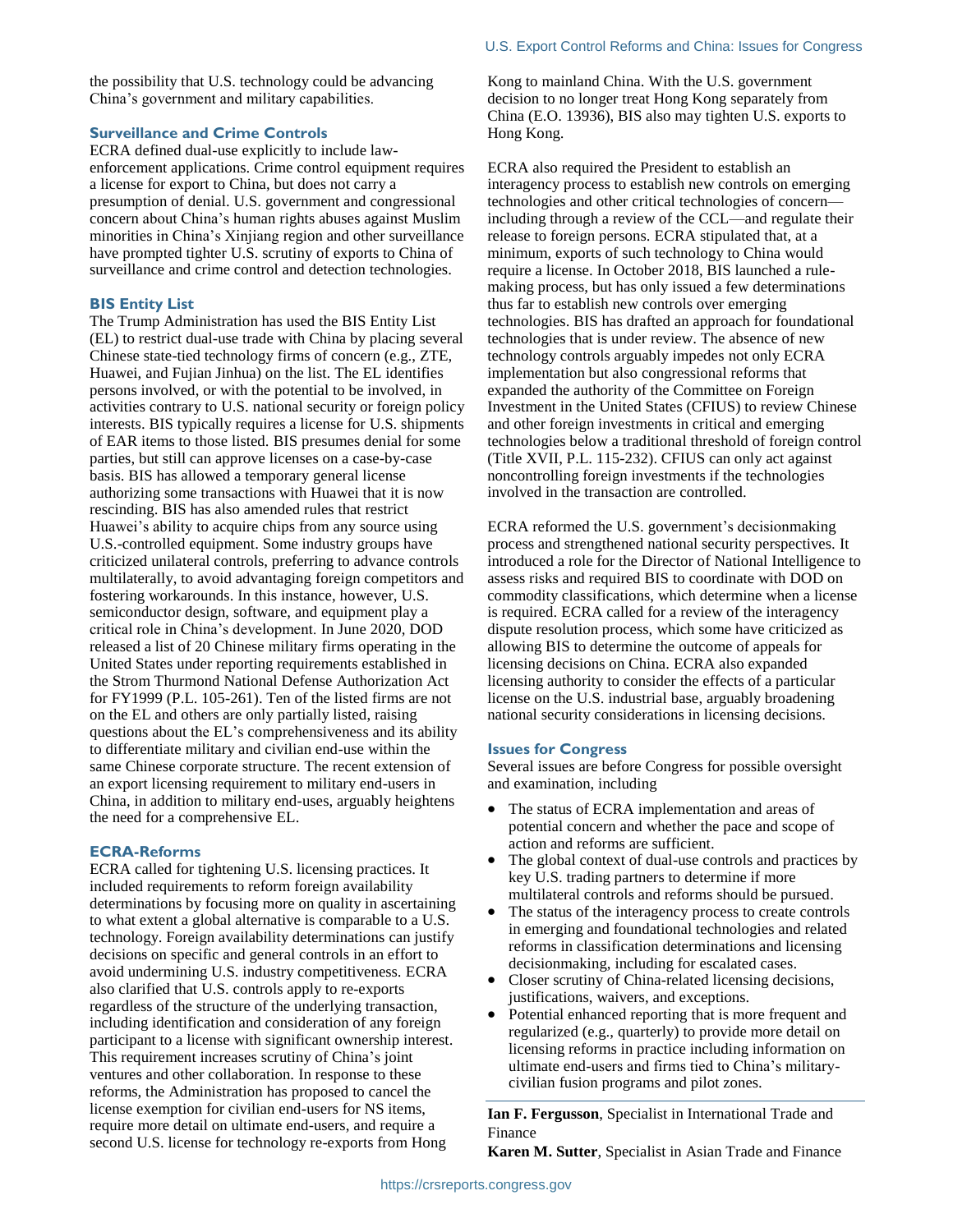#### U.S. Export Control Reforms and China: Issues for Congress

the possibility that U.S. technology could be advancing China's government and military capabilities.

#### **Surveillance and Crime Controls**

ECRA defined dual-use explicitly to include lawenforcement applications. Crime control equipment requires a license for export to China, but does not carry a presumption of denial. U.S. government and congressional concern about China's human rights abuses against Muslim minorities in China's Xinjiang region and other surveillance have prompted tighter U.S. scrutiny of exports to China of surveillance and crime control and detection technologies.

#### **BIS Entity List**

The Trump Administration has used the BIS Entity List (EL) to restrict dual-use trade with China by placing several Chinese state-tied technology firms of concern (e.g., ZTE, Huawei, and Fujian Jinhua) on the list. The EL identifies persons involved, or with the potential to be involved, in activities contrary to U.S. national security or foreign policy interests. BIS typically requires a license for U.S. shipments of EAR items to those listed. BIS presumes denial for some parties, but still can approve licenses on a case-by-case basis. BIS has allowed a temporary general license authorizing some transactions with Huawei that it is now rescinding. BIS has also amended rules that restrict Huawei's ability to acquire chips from any source using U.S.-controlled equipment. Some industry groups have criticized unilateral controls, preferring to advance controls multilaterally, to avoid advantaging foreign competitors and fostering workarounds. In this instance, however, U.S. semiconductor design, software, and equipment play a critical role in China's development. In June 2020, DOD released a list of 20 Chinese military firms operating in the United States under reporting requirements established in the Strom Thurmond National Defense Authorization Act for FY1999 (P.L. 105-261). Ten of the listed firms are not on the EL and others are only partially listed, raising questions about the EL's comprehensiveness and its ability to differentiate military and civilian end-use within the same Chinese corporate structure. The recent extension of an export licensing requirement to military end-users in China, in addition to military end-uses, arguably heightens the need for a comprehensive EL.

#### **ECRA-Reforms**

ECRA called for tightening U.S. licensing practices. It included requirements to reform foreign availability determinations by focusing more on quality in ascertaining to what extent a global alternative is comparable to a U.S. technology. Foreign availability determinations can justify decisions on specific and general controls in an effort to avoid undermining U.S. industry competitiveness. ECRA also clarified that U.S. controls apply to re-exports regardless of the structure of the underlying transaction, including identification and consideration of any foreign participant to a license with significant ownership interest. This requirement increases scrutiny of China's joint ventures and other collaboration. In response to these reforms, the Administration has proposed to cancel the license exemption for civilian end-users for NS items, require more detail on ultimate end-users, and require a second U.S. license for technology re-exports from Hong

Kong to mainland China. With the U.S. government decision to no longer treat Hong Kong separately from China (E.O. 13936), BIS also may tighten U.S. exports to Hong Kong.

ECRA also required the President to establish an interagency process to establish new controls on emerging technologies and other critical technologies of concern including through a review of the CCL—and regulate their release to foreign persons. ECRA stipulated that, at a minimum, exports of such technology to China would require a license. In October 2018, BIS launched a rulemaking process, but has only issued a few determinations thus far to establish new controls over emerging technologies. BIS has drafted an approach for foundational technologies that is under review. The absence of new technology controls arguably impedes not only ECRA implementation but also congressional reforms that expanded the authority of the Committee on Foreign Investment in the United States (CFIUS) to review Chinese and other foreign investments in critical and emerging technologies below a traditional threshold of foreign control (Title XVII, P.L. 115-232). CFIUS can only act against noncontrolling foreign investments if the technologies involved in the transaction are controlled.

ECRA reformed the U.S. government's decisionmaking process and strengthened national security perspectives. It introduced a role for the Director of National Intelligence to assess risks and required BIS to coordinate with DOD on commodity classifications, which determine when a license is required. ECRA called for a review of the interagency dispute resolution process, which some have criticized as allowing BIS to determine the outcome of appeals for licensing decisions on China. ECRA also expanded licensing authority to consider the effects of a particular license on the U.S. industrial base, arguably broadening national security considerations in licensing decisions.

#### **Issues for Congress**

Several issues are before Congress for possible oversight and examination, including

- The status of ECRA implementation and areas of potential concern and whether the pace and scope of action and reforms are sufficient.
- The global context of dual-use controls and practices by key U.S. trading partners to determine if more multilateral controls and reforms should be pursued.
- The status of the interagency process to create controls in emerging and foundational technologies and related reforms in classification determinations and licensing decisionmaking, including for escalated cases.
- Closer scrutiny of China-related licensing decisions, justifications, waivers, and exceptions.
- Potential enhanced reporting that is more frequent and regularized (e.g., quarterly) to provide more detail on licensing reforms in practice including information on ultimate end-users and firms tied to China's militarycivilian fusion programs and pilot zones.

**Ian F. Fergusson**, Specialist in International Trade and Finance

**Karen M. Sutter**, Specialist in Asian Trade and Finance